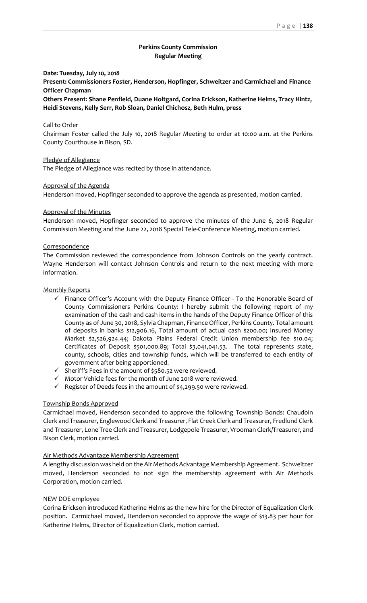# **Perkins County Commission Regular Meeting**

#### **Date: Tuesday, July 10, 2018**

**Present: Commissioners Foster, Henderson, Hopfinger, Schweitzer and Carmichael and Finance Officer Chapman**

**Others Present: Shane Penfield, Duane Holtgard, Corina Erickson, Katherine Helms, Tracy Hintz, Heidi Stevens, Kelly Serr, Rob Sloan, Daniel Chichosz, Beth Hulm, press**

### Call to Order

Chairman Foster called the July 10, 2018 Regular Meeting to order at 10:00 a.m. at the Perkins County Courthouse in Bison, SD.

Pledge of Allegiance

The Pledge of Allegiance was recited by those in attendance.

#### Approval of the Agenda

Henderson moved, Hopfinger seconded to approve the agenda as presented, motion carried.

## Approval of the Minutes

Henderson moved, Hopfinger seconded to approve the minutes of the June 6, 2018 Regular Commission Meeting and the June 22, 2018 Special Tele-Conference Meeting, motion carried.

#### **Correspondence**

The Commission reviewed the correspondence from Johnson Controls on the yearly contract. Wayne Henderson will contact Johnson Controls and return to the next meeting with more information.

## Monthly Reports

- ✓ Finance Officer's Account with the Deputy Finance Officer To the Honorable Board of County Commissioners Perkins County: I hereby submit the following report of my examination of the cash and cash items in the hands of the Deputy Finance Officer of this County as of June 30, 2018, Sylvia Chapman, Finance Officer, Perkins County. Total amount of deposits in banks \$12,906.16, Total amount of actual cash \$200.00; Insured Money Market \$2,526,924.44; Dakota Plains Federal Credit Union membership fee \$10.04; Certificates of Deposit \$501,000.89; Total \$3,041,041.53. The total represents state, county, schools, cities and township funds, which will be transferred to each entity of government after being apportioned.
- $\checkmark$  Sheriff's Fees in the amount of \$580.52 were reviewed.
- ✓ Motor Vehicle fees for the month of June 2018 were reviewed.
- ✓ Register of Deeds fees in the amount of \$4,299.50 were reviewed.

## Township Bonds Approved

Carmichael moved, Henderson seconded to approve the following Township Bonds: Chaudoin Clerk and Treasurer, Englewood Clerk and Treasurer, Flat Creek Clerk and Treasurer, Fredlund Clerk and Treasurer, Lone Tree Clerk and Treasurer, Lodgepole Treasurer, Vrooman Clerk/Treasurer, and Bison Clerk, motion carried.

#### Air Methods Advantage Membership Agreement

A lengthy discussion was held on the Air Methods Advantage Membership Agreement. Schweitzer moved, Henderson seconded to not sign the membership agreement with Air Methods Corporation, motion carried.

### NEW DOE employee

Corina Erickson introduced Katherine Helms as the new hire for the Director of Equalization Clerk position. Carmichael moved, Henderson seconded to approve the wage of \$13.83 per hour for Katherine Helms, Director of Equalization Clerk, motion carried.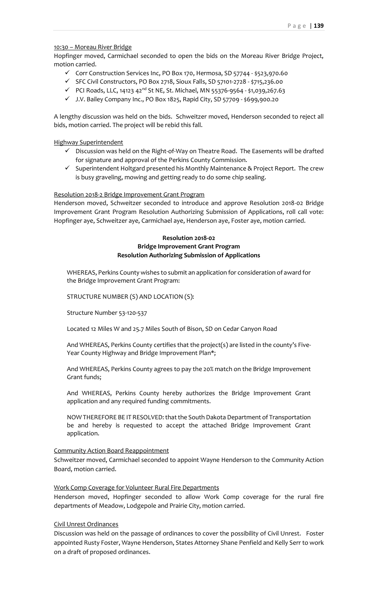## 10:30 – Moreau River Bridge

Hopfinger moved, Carmichael seconded to open the bids on the Moreau River Bridge Project, motion carried.

- ✓ Corr Construction Services Inc, PO Box 170, Hermosa, SD 57744 \$523,970.60
- ✓ SFC Civil Constructors, PO Box 2718, Sioux Falls, SD 57101-2728 \$715,236.00
- ✓ PCI Roads, LLC, 14123 42nd St NE, St. Michael, MN 55376-9564 \$1,039,267.63
- ✓ J.V. Bailey Company Inc., PO Box 1825, Rapid City, SD 57709 \$699,900.20

A lengthy discussion was held on the bids. Schweitzer moved, Henderson seconded to reject all bids, motion carried. The project will be rebid this fall.

## Highway Superintendent

- ✓ Discussion was held on the Right-of-Way on Theatre Road. The Easements will be drafted for signature and approval of the Perkins County Commission.
- ✓ Superintendent Holtgard presented his Monthly Maintenance & Project Report. The crew is busy graveling, mowing and getting ready to do some chip sealing.

### Resolution 2018-2 Bridge Improvement Grant Program

Henderson moved, Schweitzer seconded to introduce and approve Resolution 2018-02 Bridge Improvement Grant Program Resolution Authorizing Submission of Applications, roll call vote: Hopfinger aye, Schweitzer aye, Carmichael aye, Henderson aye, Foster aye, motion carried.

# **Resolution 2018-02 Bridge Improvement Grant Program Resolution Authorizing Submission of Applications**

WHEREAS, Perkins County wishes to submit an application for consideration of award for the Bridge Improvement Grant Program:

STRUCTURE NUMBER (S) AND LOCATION (S):

Structure Number 53-120-537

Located 12 Miles W and 25.7 Miles South of Bison, SD on Cedar Canyon Road

And WHEREAS, Perkins County certifies that the project(s) are listed in the county's Five-Year County Highway and Bridge Improvement Plan\*;

And WHEREAS, Perkins County agrees to pay the 20% match on the Bridge Improvement Grant funds;

And WHEREAS, Perkins County hereby authorizes the Bridge Improvement Grant application and any required funding commitments.

NOW THEREFORE BE IT RESOLVED: that the South Dakota Department of Transportation be and hereby is requested to accept the attached Bridge Improvement Grant application.

## Community Action Board Reappointment

Schweitzer moved, Carmichael seconded to appoint Wayne Henderson to the Community Action Board, motion carried.

### Work Comp Coverage for Volunteer Rural Fire Departments

Henderson moved, Hopfinger seconded to allow Work Comp coverage for the rural fire departments of Meadow, Lodgepole and Prairie City, motion carried.

Civil Unrest Ordinances

Discussion was held on the passage of ordinances to cover the possibility of Civil Unrest. Foster appointed Rusty Foster, Wayne Henderson, States Attorney Shane Penfield and Kelly Serr to work on a draft of proposed ordinances.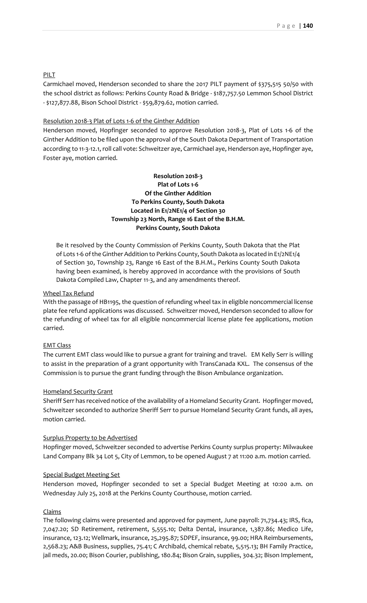## PILT

Carmichael moved, Henderson seconded to share the 2017 PILT payment of \$375,515 50/50 with the school district as follows: Perkins County Road & Bridge - \$187,757.50 Lemmon School District - \$127,877.88, Bison School District - \$59,879.62, motion carried.

### Resolution 2018-3 Plat of Lots 1-6 of the Ginther Addition

Henderson moved, Hopfinger seconded to approve Resolution 2018-3, Plat of Lots 1-6 of the Ginther Addition to be filed upon the approval of the South Dakota Department of Transportation according to 11-3-12.1, roll call vote: Schweitzer aye, Carmichael aye, Henderson aye, Hopfinger aye, Foster aye, motion carried.

# **Resolution 2018-3 Plat of Lots 1-6 Of the Ginther Addition To Perkins County, South Dakota Located in E1/2NE1/4 of Section 30 Township 23 North, Range 16 East of the B.H.M. Perkins County, South Dakota**

Be it resolved by the County Commission of Perkins County, South Dakota that the Plat of Lots 1-6 of the Ginther Addition to Perkins County, South Dakota as located in E1/2NE1/4 of Section 30, Township 23, Range 16 East of the B.H.M., Perkins County South Dakota having been examined, is hereby approved in accordance with the provisions of South Dakota Compiled Law, Chapter 11-3, and any amendments thereof.

### Wheel Tax Refund

With the passage of HB1195, the question of refunding wheel tax in eligible noncommercial license plate fee refund applications was discussed. Schweitzer moved, Henderson seconded to allow for the refunding of wheel tax for all eligible noncommercial license plate fee applications, motion carried.

## EMT Class

The current EMT class would like to pursue a grant for training and travel. EM Kelly Serr is willing to assist in the preparation of a grant opportunity with TransCanada KXL. The consensus of the Commission is to pursue the grant funding through the Bison Ambulance organization.

#### Homeland Security Grant

Sheriff Serr has received notice of the availability of a Homeland Security Grant. Hopfinger moved, Schweitzer seconded to authorize Sheriff Serr to pursue Homeland Security Grant funds, all ayes, motion carried.

#### Surplus Property to be Advertised

Hopfinger moved, Schweitzer seconded to advertise Perkins County surplus property: Milwaukee Land Company Blk 34 Lot 5, City of Lemmon, to be opened August 7 at 11:00 a.m. motion carried.

#### Special Budget Meeting Set

Henderson moved, Hopfinger seconded to set a Special Budget Meeting at 10:00 a.m. on Wednesday July 25, 2018 at the Perkins County Courthouse, motion carried.

#### Claims

The following claims were presented and approved for payment, June payroll: 71,734.43; IRS, fica, 7,047.20; SD Retirement, retirement, 5,555.10; Delta Dental, insurance, 1,387.86; Medico Life, insurance, 123.12; Wellmark, insurance, 25,295.87; SDPEF, insurance, 99.00; HRA Reimbursements, 2,568.23; A&B Business, supplies, 75.41; C Archibald, chemical rebate, 5,515.13; BH Family Practice, jail meds, 20.00; Bison Courier, publishing, 180.84; Bison Grain, supplies, 304.32; Bison Implement,